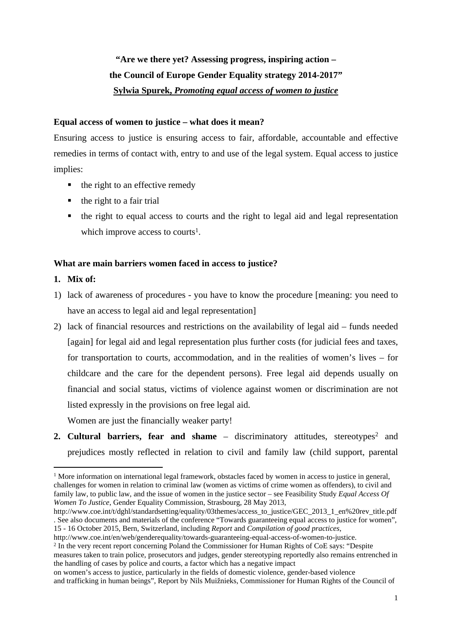# **"Are we there yet? Assessing progress, inspiring action – the Council of Europe Gender Equality strategy 2014-2017" Sylwia Spurek,** *Promoting equal access of women to justice*

### **Equal access of women to justice – what does it mean?**

Ensuring access to justice is ensuring access to fair, affordable, accountable and effective remedies in terms of contact with, entry to and use of the legal system. Equal access to justice implies:

- $\blacksquare$  the right to an effective remedy
- $\blacksquare$  the right to a fair trial
- the right to equal access to courts and the right to legal aid and legal representation which improve access to courts<sup>1</sup>.

## **What are main barriers women faced in access to justice?**

- **1. Mix of:**
- 1) lack of awareness of procedures you have to know the procedure [meaning: you need to have an access to legal aid and legal representation]
- 2) lack of financial resources and restrictions on the availability of legal aid funds needed [again] for legal aid and legal representation plus further costs (for judicial fees and taxes, for transportation to courts, accommodation, and in the realities of women's lives – for childcare and the care for the dependent persons). Free legal aid depends usually on financial and social status, victims of violence against women or discrimination are not listed expressly in the provisions on free legal aid.

Women are just the financially weaker party!

**2. Cultural barriers, fear and shame** – discriminatory attitudes, stereotypes<sup>2</sup> and prejudices mostly reflected in relation to civil and family law (child support, parental

<sup>&</sup>lt;sup>1</sup> More information on international legal framework, obstacles faced by women in access to justice in general, challenges for women in relation to criminal law (women as victims of crime women as offenders), to civil and family law, to public law, and the issue of women in the justice sector – see Feasibility Study *Equal Access Of Women To Justice*, Gender Equality Commission, Strasbourg, 28 May 2013,

http://www.coe.int/t/dghl/standardsetting/equality/03themes/access\_to\_justice/GEC\_2013\_1\_en%20rev\_title.pdf . See also documents and materials of the conference "Towards guaranteeing equal access to justice for women", 15 - 16 October 2015, Bern, Switzerland, including *Report* and *Compilation of good practices*,

http://www.coe.int/en/web/genderequality/towards-guaranteeing-equal-access-of-women-to-justice.

<sup>&</sup>lt;sup>2</sup> In the very recent report concerning Poland the Commissioner for Human Rights of CoE says: "Despite measures taken to train police, prosecutors and judges, gender stereotyping reportedly also remains entrenched in the handling of cases by police and courts, a factor which has a negative impact

on women's access to justice, particularly in the fields of domestic violence, gender-based violence and trafficking in human beings", Report by Nils Muižnieks, Commissioner for Human Rights of the Council of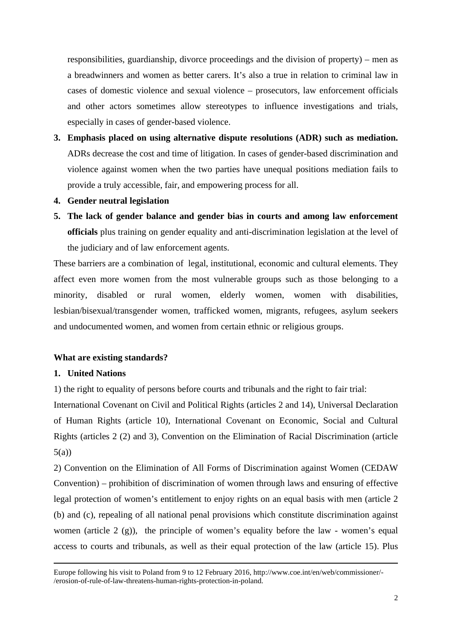responsibilities, guardianship, divorce proceedings and the division of property) – men as a breadwinners and women as better carers. It's also a true in relation to criminal law in cases of domestic violence and sexual violence – prosecutors, law enforcement officials and other actors sometimes allow stereotypes to influence investigations and trials, especially in cases of gender-based violence.

- **3. Emphasis placed on using alternative dispute resolutions (ADR) such as mediation.** ADRs decrease the cost and time of litigation. In cases of gender-based discrimination and violence against women when the two parties have unequal positions mediation fails to provide a truly accessible, fair, and empowering process for all.
- **4. Gender neutral legislation**
- **5. The lack of gender balance and gender bias in courts and among law enforcement officials** plus training on gender equality and anti-discrimination legislation at the level of the judiciary and of law enforcement agents.

These barriers are a combination of legal, institutional, economic and cultural elements. They affect even more women from the most vulnerable groups such as those belonging to a minority, disabled or rural women, elderly women, women with disabilities, lesbian/bisexual/transgender women, trafficked women, migrants, refugees, asylum seekers and undocumented women, and women from certain ethnic or religious groups.

## **What are existing standards?**

#### **1. United Nations**

1) the right to equality of persons before courts and tribunals and the right to fair trial:

International Covenant on Civil and Political Rights (articles 2 and 14), Universal Declaration of Human Rights (article 10), International Covenant on Economic, Social and Cultural Rights (articles 2 (2) and 3), Convention on the Elimination of Racial Discrimination (article 5(a))

2) Convention on the Elimination of All Forms of Discrimination against Women (CEDAW Convention) – prohibition of discrimination of women through laws and ensuring of effective legal protection of women's entitlement to enjoy rights on an equal basis with men (article 2 (b) and (c), repealing of all national penal provisions which constitute discrimination against women (article 2 (g)), the principle of women's equality before the law - women's equal access to courts and tribunals, as well as their equal protection of the law (article 15). Plus

Europe following his visit to Poland from 9 to 12 February 2016, http://www.coe.int/en/web/commissioner/- /erosion-of-rule-of-law-threatens-human-rights-protection-in-poland.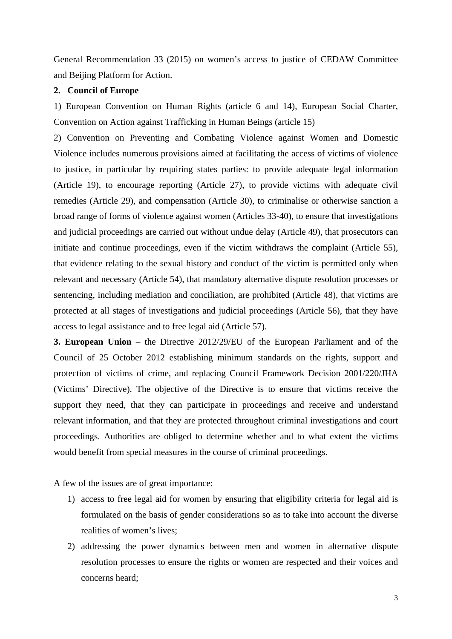General Recommendation 33 (2015) on women's access to justice of CEDAW Committee and Beijing Platform for Action.

#### **2. Council of Europe**

1) European Convention on Human Rights (article 6 and 14), European Social Charter, Convention on Action against Trafficking in Human Beings (article 15)

2) Convention on Preventing and Combating Violence against Women and Domestic Violence includes numerous provisions aimed at facilitating the access of victims of violence to justice, in particular by requiring states parties: to provide adequate legal information (Article 19), to encourage reporting (Article 27), to provide victims with adequate civil remedies (Article 29), and compensation (Article 30), to criminalise or otherwise sanction a broad range of forms of violence against women (Articles 33-40), to ensure that investigations and judicial proceedings are carried out without undue delay (Article 49), that prosecutors can initiate and continue proceedings, even if the victim withdraws the complaint (Article 55), that evidence relating to the sexual history and conduct of the victim is permitted only when relevant and necessary (Article 54), that mandatory alternative dispute resolution processes or sentencing, including mediation and conciliation, are prohibited (Article 48), that victims are protected at all stages of investigations and judicial proceedings (Article 56), that they have access to legal assistance and to free legal aid (Article 57).

**3. European Union** – the Directive 2012/29/EU of the European Parliament and of the Council of 25 October 2012 establishing minimum standards on the rights, support and protection of victims of crime, and replacing Council Framework Decision 2001/220/JHA (Victims' Directive). The objective of the Directive is to ensure that victims receive the support they need, that they can participate in proceedings and receive and understand relevant information, and that they are protected throughout criminal investigations and court proceedings. Authorities are obliged to determine whether and to what extent the victims would benefit from special measures in the course of criminal proceedings.

A few of the issues are of great importance:

- 1) access to free legal aid for women by ensuring that eligibility criteria for legal aid is formulated on the basis of gender considerations so as to take into account the diverse realities of women's lives;
- 2) addressing the power dynamics between men and women in alternative dispute resolution processes to ensure the rights or women are respected and their voices and concerns heard;